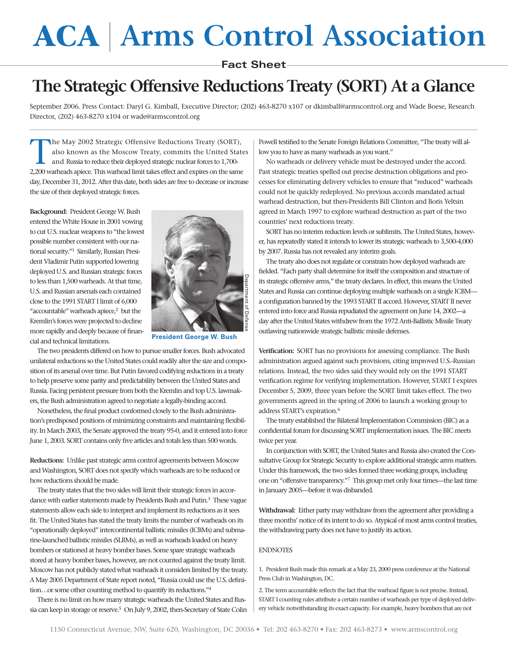## **ACA Arms Control Association**

## **Fact Sheet**

## **The Strategic Offensive Reductions Treaty (SORT) At a Glance**

September 2006. Press Contact: Daryl G. Kimball, Executive Director; (202) 463-8270 x107 or dkimball@armscontrol.org and Wade Boese, Research Director, (202) 463-8270 x104 or wade@armscontrol.org

The May 2002 Strategic Offensive Reductions Treaty (SORT), also known as the Moscow Treaty, commits the United States and Russia to reduce their deployed strategic nuclear forces to 1,700- 2,200 warheads apiece. This warhead limit takes effect and expires on the same day, December 31, 2012. After this date, both sides are free to decrease or increase the size of their deployed strategic forces.

**Background:** President George W. Bush entered the White House in 2001 vowing to cut U.S. nuclear weapons to "the lowest possible number consistent with our national security."1 Similarly, Russian President Vladimir Putin supported lowering deployed U.S. and Russian strategic forces to less than 1,500 warheads. At that time, U.S. and Russian arsenals each contained close to the 1991 START I limit of 6,000 "accountable" warheads apiece,<sup>2</sup> but the Kremlin's forces were projected to decline more rapidly and deeply because of financial and technical limitations.



**President George W. Bush**

The two presidents differed on how to pursue smaller forces. Bush advocated unilateral reductions so the United States could readily alter the size and composition of its arsenal over time. But Putin favored codifying reductions in a treaty to help preserve some parity and predictability between the United States and Russia. Facing persistent pressure from both the Kremlin and top U.S. lawmakers, the Bush administration agreed to negotiate a legally-binding accord.

Nonetheless, the final product conformed closely to the Bush administration's predisposed positions of minimizing constraints and maintaining flexibility. In March 2003, the Senate approved the treaty 95-0, and it entered into force June 1, 2003. SORT contains only five articles and totals less than 500 words.

**Reductions:** Unlike past strategic arms control agreements between Moscow and Washington, SORT does not specify which warheads are to be reduced or how reductions should be made.

The treaty states that the two sides will limit their strategic forces in accordance with earlier statements made by Presidents Bush and Putin.<sup>3</sup> These vague statements allow each side to interpret and implement its reductions as it sees fit. The United States has stated the treaty limits the number of warheads on its "operationally deployed" intercontinental ballistic missiles (ICBMs) and submarine-launched ballistic missiles (SLBMs), as well as warheads loaded on heavy bombers or stationed at heavy bomber bases. Some spare strategic warheads stored at heavy bomber bases, however, are not counted against the treaty limit. Moscow has not publicly stated what warheads it considers limited by the treaty. A May 2005 Department of State report noted, "Russia could use the U.S. definition…or some other counting method to quantify its reductions."4

There is no limit on how many strategic warheads the United States and Russia can keep in storage or reserve.<sup>5</sup> On July 9, 2002, then-Secretary of State Colin Powell testified to the Senate Foreign Relations Committee, "The treaty will allow you to have as many warheads as you want."

No warheads or delivery vehicle must be destroyed under the accord. Past strategic treaties spelled out precise destruction obligations and processes for eliminating delivery vehicles to ensure that "reduced" warheads could not be quickly redeployed. No previous accords mandated actual warhead destruction, but then-Presidents Bill Clinton and Boris Yeltsin agreed in March 1997 to explore warhead destruction as part of the two countries' next reductions treaty.

SORT has no interim reduction levels or sublimits. The United States, however, has repeatedly stated it intends to lower its strategic warheads to 3,500-4,000 by 2007. Russia has not revealed any interim goals.

The treaty also does not regulate or constrain how deployed warheads are fielded. "Each party shall determine for itself the composition and structure of its strategic offensive arms," the treaty declares. In effect, this means the United States and Russia can continue deploying multiple warheads on a single ICBM a configuration banned by the 1993 START II accord. However, START II never entered into force and Russia repudiated the agreement on June 14, 2002—a day after the United States withdrew from the 1972 Anti-Ballistic Missile Treaty outlawing nationwide strategic ballistic missile defenses.

**Verification:** SORT has no provisions for assessing compliance. The Bush administration argued against such provisions, citing improved U.S.-Russian relations. Instead, the two sides said they would rely on the 1991 START verification regime for verifying implementation. However, START I expires December 5, 2009, three years before the SORT limit takes effect. The two governments agreed in the spring of 2006 to launch a working group to address START's expiration.<sup>6</sup>

The treaty established the Bilateral Implementation Commission (BIC) as a confidential forum for discussing SORT implementation issues. The BIC meets twice per year.

In conjunction with SORT, the United States and Russia also created the Consultative Group for Strategic Security to explore additional strategic arms matters. Under this framework, the two sides formed three working groups, including one on "offensive transparency."7 This group met only four times—the last time in January 2005—before it was disbanded.

**Withdrawal:** Either party may withdraw from the agreement after providing a three months' notice of its intent to do so. Atypical of most arms control treaties, the withdrawing party does not have to justify its action.

## ENDNOTES

1. President Bush made this remark at a May 23, 2000 press conference at the National Press Club in Washington, DC.

2. The term accountable reflects the fact that the warhead figure is not precise. Instead, START I counting rules attribute a certain number of warheads per type of deployed delivery vehicle notwithstanding its exact capacity. For example, heavy bombers that are not